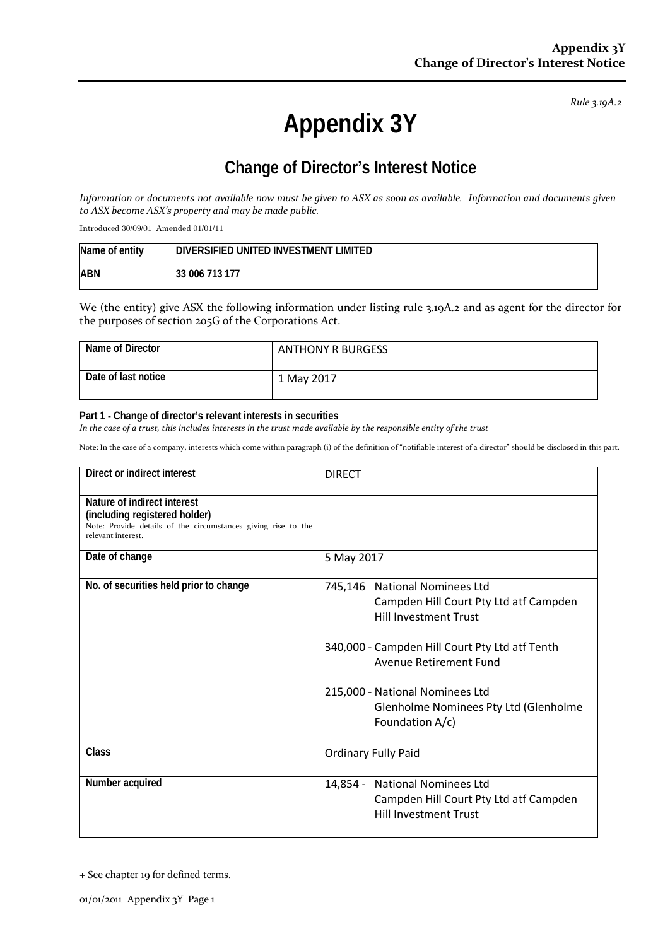*Rule 3.19A.2*

# **Appendix 3Y**

## **Change of Director's Interest Notice**

*Information or documents not available now must be given to ASX as soon as available. Information and documents given to ASX become ASX's property and may be made public.*

Introduced 30/09/01 Amended 01/01/11

| Name of entity | DIVERSIFIED UNITED INVESTMENT LIMITED |
|----------------|---------------------------------------|
| ABN            | 33 006 713 177                        |

We (the entity) give ASX the following information under listing rule 3.19A.2 and as agent for the director for the purposes of section 205G of the Corporations Act.

| Name of Director    | <b>ANTHONY R BURGESS</b> |
|---------------------|--------------------------|
| Date of last notice | 1 May 2017               |

#### **Part 1 - Change of director's relevant interests in securities**

*In the case of a trust, this includes interests in the trust made available by the responsible entity of the trust*

Note: In the case of a company, interests which come within paragraph (i) of the definition of "notifiable interest of a director" should be disclosed in this part.

| Direct or indirect interest                                                                                                                         | <b>DIRECT</b>                                                                                            |
|-----------------------------------------------------------------------------------------------------------------------------------------------------|----------------------------------------------------------------------------------------------------------|
| Nature of indirect interest<br>(including registered holder)<br>Note: Provide details of the circumstances giving rise to the<br>relevant interest. |                                                                                                          |
| Date of change                                                                                                                                      | 5 May 2017                                                                                               |
| No. of securities held prior to change                                                                                                              | 745,146 National Nominees Ltd<br>Campden Hill Court Pty Ltd atf Campden<br><b>Hill Investment Trust</b>  |
|                                                                                                                                                     | 340,000 - Campden Hill Court Pty Ltd atf Tenth<br>Avenue Retirement Fund                                 |
|                                                                                                                                                     | 215,000 - National Nominees Ltd<br>Glenholme Nominees Pty Ltd (Glenholme<br>Foundation A/c)              |
| Class                                                                                                                                               | <b>Ordinary Fully Paid</b>                                                                               |
| Number acquired                                                                                                                                     | 14,854 - National Nominees Ltd<br>Campden Hill Court Pty Ltd atf Campden<br><b>Hill Investment Trust</b> |

<sup>+</sup> See chapter 19 for defined terms.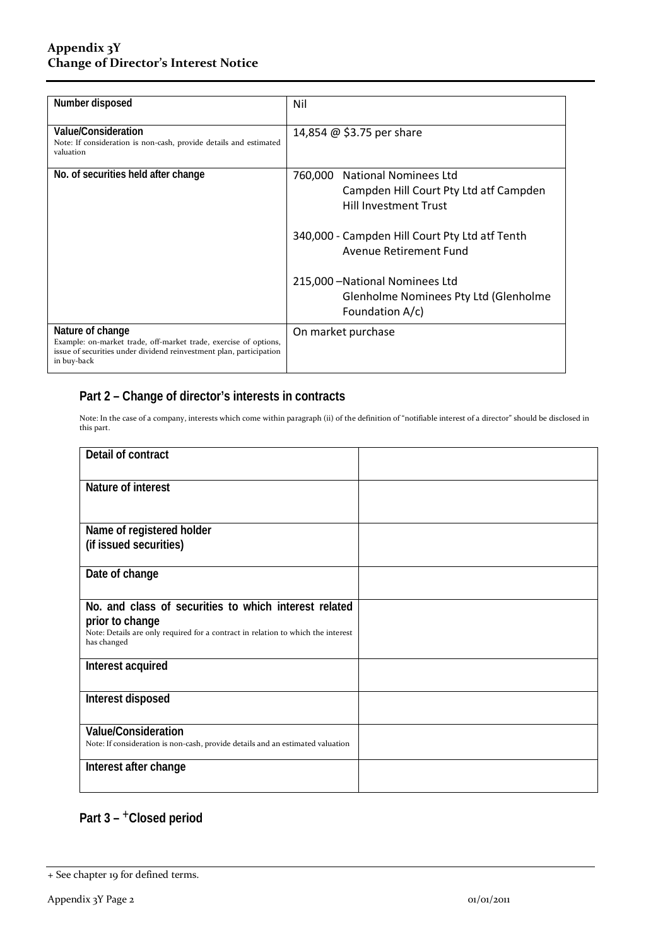#### **Appendix 3Y Change of Director's Interest Notice**

| Number disposed                                                                                                                                                            | Nil                                                                                                     |  |
|----------------------------------------------------------------------------------------------------------------------------------------------------------------------------|---------------------------------------------------------------------------------------------------------|--|
| Value/Consideration<br>Note: If consideration is non-cash, provide details and estimated<br>valuation                                                                      | 14,854 @ \$3.75 per share                                                                               |  |
| No. of securities held after change                                                                                                                                        | 760,000 National Nominees Ltd<br>Campden Hill Court Pty Ltd atf Campden<br><b>Hill Investment Trust</b> |  |
|                                                                                                                                                                            | 340,000 - Campden Hill Court Pty Ltd atf Tenth<br><b>Avenue Retirement Fund</b>                         |  |
|                                                                                                                                                                            | 215,000 - National Nominees Ltd<br>Glenholme Nominees Pty Ltd (Glenholme<br>Foundation A/c)             |  |
| Nature of change<br>Example: on-market trade, off-market trade, exercise of options,<br>issue of securities under dividend reinvestment plan, participation<br>in buy-back | On market purchase                                                                                      |  |

### **Part 2 – Change of director's interests in contracts**

Note: In the case of a company, interests which come within paragraph (ii) of the definition of "notifiable interest of a director" should be disclosed in this part.

| Detail of contract                                                                              |  |
|-------------------------------------------------------------------------------------------------|--|
| Nature of interest                                                                              |  |
| Name of registered holder                                                                       |  |
| (if issued securities)                                                                          |  |
| Date of change                                                                                  |  |
| No. and class of securities to which interest related                                           |  |
| prior to change                                                                                 |  |
| Note: Details are only required for a contract in relation to which the interest<br>has changed |  |
| Interest acquired                                                                               |  |
| Interest disposed                                                                               |  |
| Value/Consideration                                                                             |  |
| Note: If consideration is non-cash, provide details and an estimated valuation                  |  |
| Interest after change                                                                           |  |

#### **Part 3 –** +**Closed period**

<sup>+</sup> See chapter 19 for defined terms.